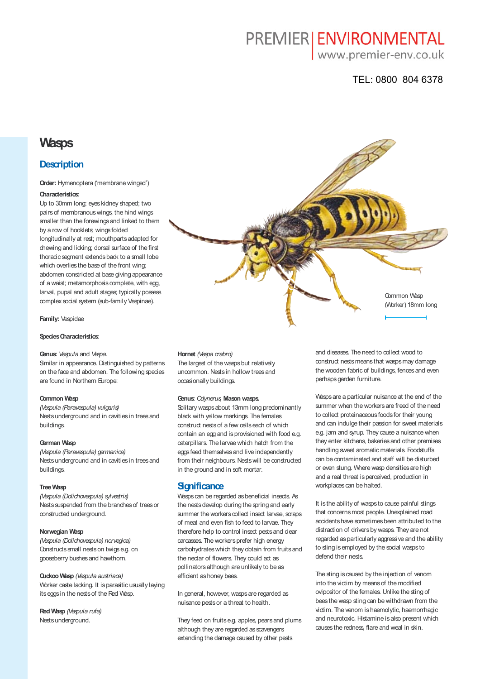# PREMIER | ENVIRONMENTAL

www.premier-env.co.uk

# TEL: 0800 804 6378

# **Wasps**

# **Description**

#### **Order:** Hymenoptera ('membrane winged')

#### **Characteristics:**

Up to 30mm long; eyes kidney shaped; two pairs of membranous wings, the hind wings smaller than the forewings and linked to them by a row of hooklets; wings folded longitudinally at rest; mouthparts adapted for chewing and licking; dorsal surface of the first thoracic segment extends back to a small lobe which overlies the base of the front wing: abdomen constricted at base giving appearance of a waist; metamorphosis complete, with egg, larval, pupal and adult stages; typically possess complex social system (sub-family Vespinae).

**Family:** Vespidae

### **Species Characteristics:**

#### **Genus:** *Vespula* and *Vespa.*

Smilar in appearance. Distinguished by patterns on the face and abdomen. The following species are found in Northern Europe:

#### **Common Wasp**

*(Vespula (Paravespula) vulgaris)* Nests underground and in cavities in trees and buildings.

#### **German Wasp**

*(Vespula (Paravespula) germanica)* Nests underground and in cavities in trees and buildings.

#### **Tree Wasp**

*(Vespula (Dolichovespula) sylvestris)* Nests suspended from the branches of trees or constructed underground.

#### **Norwegian Wasp**

*(Vespula (Dolichovespula) norvegica)* Constructs small nests on twigs e.g. on gooseberry bushes and hawthorn.

**Cuckoo Wasp** *(Vespula austriaca)* Worker caste lacking. It is parasitic usually laying its eggs in the nests of the Red Wasp.

**Red Wasp** *(Vespula rufa)* Nests underground.



#### **Hornet** *(Vespa crabro)*

The largest of the wasps but relatively uncommon. Nests in hollow trees and occasionally buildings.

#### **Genus:** *Odynerus,* **Mason wasps.**

Solitary wasps about 13mm long predominantly black with yellow markings. The females construct nests of a few cells each of which contain an egg and is provisioned with food e.g. caterpillars. The larvae which hatch from the eggs feed themselves and live independently from their neighbours. Nests will be constructed in the ground and in soft mortar.

# **Significance**

Wasps can be regarded as beneficial insects. As the nests develop during the spring and early summer the workers collect insect larvae, scraps of meat and even fish to feed to larvae. They therefore help to control insect pests and dear carcasses. The workers prefer high energy carbohydrates which they obtain from fruits and the nectar of flowers. They could act as pollinators although are unlikely to be as efficient as honey bees.

In general, however, wasps are regarded as nuisance pests or a threat to health.

They feed on fruits e.g. apples, pears and plums although they are regarded as scavengers extending the damage caused by other pests

and diseases. The need to collect wood to construct nests means that wasps may damage the wooden fabric of buildings, fences and even perhaps garden furniture.

Wasps are a particular nuisance at the end of the summer when the workers are freed of the need to collect proteinaceous foods for their young and can indulge their passion for sweet materials e.g. jam and syrup. They cause a nuisance when they enter kitchens, bakeries and other premises handling sweet aromatic materials. Foodstuffs can be contaminated and staff will be disturbed or even stung. Where wasp densities are high and a real threat is perceived, production in workplaces can be halted.

It is the ability of wasps to cause painful stings that concerns most people. Unexplained road accidents have sometimes been attributed to the distraction of drivers by wasps. They are not regarded as particularly aggressive and the ability to sting is employed by the social wasps to defend their nests.

The sting is caused by the injection of venom into the victim by means of the modified ovipositor of the females. Unlike the sting of bees the wasp sting can be withdrawn from the victim. The venom is haemolytic, haemorrhagic and neurotoxic. Histamine is also present which causes the redness, flare and weal in skin.